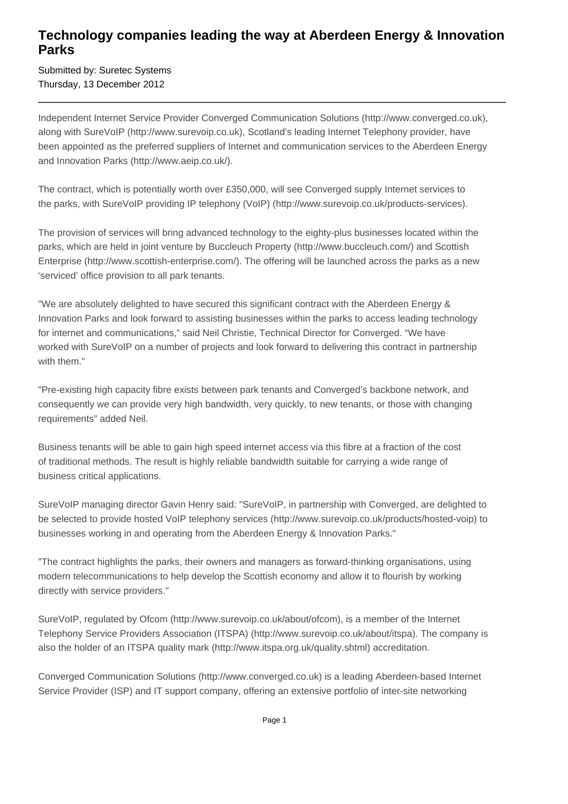## **Technology companies leading the way at Aberdeen Energy & Innovation Parks**

Submitted by: Suretec Systems Thursday, 13 December 2012

Independent Internet Service Provider Converged Communication Solutions (http://www.converged.co.uk), along with SureVoIP (http://www.surevoip.co.uk), Scotland's leading Internet Telephony provider, have been appointed as the preferred suppliers of Internet and communication services to the Aberdeen Energy and Innovation Parks (http://www.aeip.co.uk/).

The contract, which is potentially worth over £350,000, will see Converged supply Internet services to the parks, with SureVoIP providing IP telephony (VoIP) (http://www.surevoip.co.uk/products-services).

The provision of services will bring advanced technology to the eighty-plus businesses located within the parks, which are held in joint venture by Buccleuch Property (http://www.buccleuch.com/) and Scottish Enterprise (http://www.scottish-enterprise.com/). The offering will be launched across the parks as a new 'serviced' office provision to all park tenants.

"We are absolutely delighted to have secured this significant contract with the Aberdeen Energy & Innovation Parks and look forward to assisting businesses within the parks to access leading technology for internet and communications," said Neil Christie, Technical Director for Converged. "We have worked with SureVoIP on a number of projects and look forward to delivering this contract in partnership with them."

"Pre-existing high capacity fibre exists between park tenants and Converged's backbone network, and consequently we can provide very high bandwidth, very quickly, to new tenants, or those with changing requirements" added Neil.

Business tenants will be able to gain high speed internet access via this fibre at a fraction of the cost of traditional methods. The result is highly reliable bandwidth suitable for carrying a wide range of business critical applications.

SureVoIP managing director Gavin Henry said: "SureVoIP, in partnership with Converged, are delighted to be selected to provide hosted VoIP telephony services (http://www.surevoip.co.uk/products/hosted-voip) to businesses working in and operating from the Aberdeen Energy & Innovation Parks."

"The contract highlights the parks, their owners and managers as forward-thinking organisations, using modern telecommunications to help develop the Scottish economy and allow it to flourish by working directly with service providers."

SureVoIP, regulated by Ofcom (http://www.surevoip.co.uk/about/ofcom), is a member of the Internet Telephony Service Providers Association (ITSPA) (http://www.surevoip.co.uk/about/itspa). The company is also the holder of an ITSPA quality mark (http://www.itspa.org.uk/quality.shtml) accreditation.

Converged Communication Solutions (http://www.converged.co.uk) is a leading Aberdeen-based Internet Service Provider (ISP) and IT support company, offering an extensive portfolio of inter-site networking